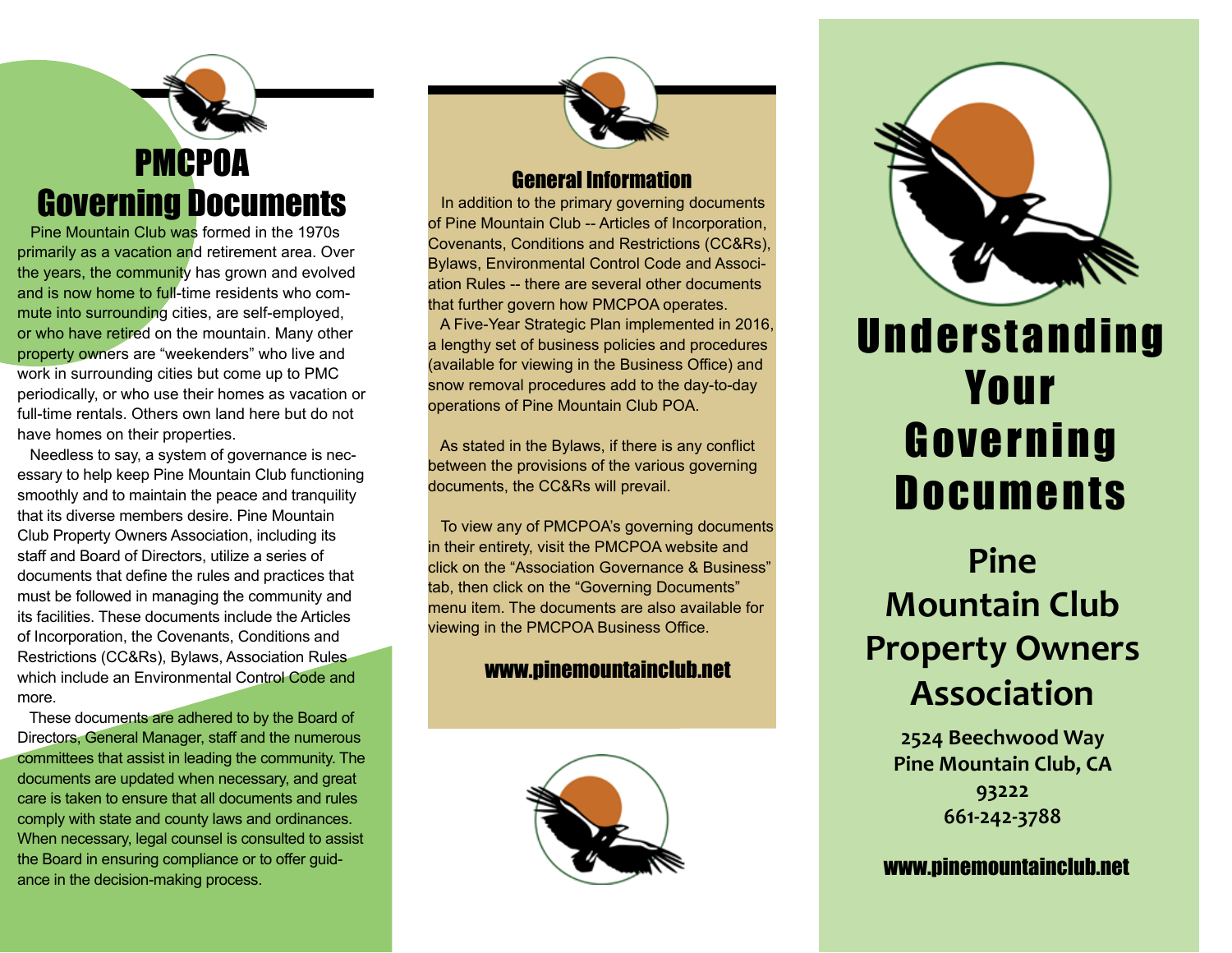## PMCPOA Governing Documents

 Pine Mountain Club was formed in the 1970s primarily as a vacation and retirement area. Over the years, the community has grown and evolved and is now home to full-time residents who commute into surrounding cities, are self-employed, or who have retired on the mountain. Many other property owners are "weekenders" who live and work in surrounding cities but come up to PMC periodically, or who use their homes as vacation or full-time rentals. Others own land here but do not have homes on their properties.

 Needless to say, a system of governance is necessary to help keep Pine Mountain Club functioning smoothly and to maintain the peace and tranquility that its diverse members desire. Pine Mountain Club Property Owners Association, including its staff and Board of Directors, utilize a series of documents that define the rules and practices that must be followed in managing the community and its facilities. These documents include the Articles of Incorporation, the Covenants, Conditions and Restrictions (CC&Rs), Bylaws, Association Rules which include an Environmental Control Code and more.

These documents are adhered to by the Board of Directors, General Manager, staff and the numerous committees that assist in leading the community. The documents are updated when necessary, and great care is taken to ensure that all documents and rules comply with state and county laws and ordinances. When necessary, legal counsel is consulted to assist the Board in ensuring compliance or to offer guidance in the decision-making process.



### General Information

 In addition to the primary governing documents of Pine Mountain Club -- Articles of Incorporation, Covenants, Conditions and Restrictions (CC&Rs), Bylaws, Environmental Control Code and Association Rules -- there are several other documents that further govern how PMCPOA operates. A Five-Year Strategic Plan implemented in 2016, a lengthy set of business policies and procedures (available for viewing in the Business Office) and snow removal procedures add to the day-to-day operations of Pine Mountain Club POA.

 As stated in the Bylaws, if there is any conflict between the provisions of the various governing documents, the CC&Rs will prevail.

 To view any of PMCPOA's governing documents in their entirety, visit the PMCPOA website and click on the "Association Governance & Business" tab, then click on the "Governing Documents" menu item. The documents are also available for viewing in the PMCPOA Business Office.

### www.pinemountainclub.net





## **Understanding** Your Governing **Documents**

## **Pine Mountain Club Property Owners Association**

**2524 Beechwood Way Pine Mountain Club, CA 93222 661-242-3788**

www.pinemountainclub.net